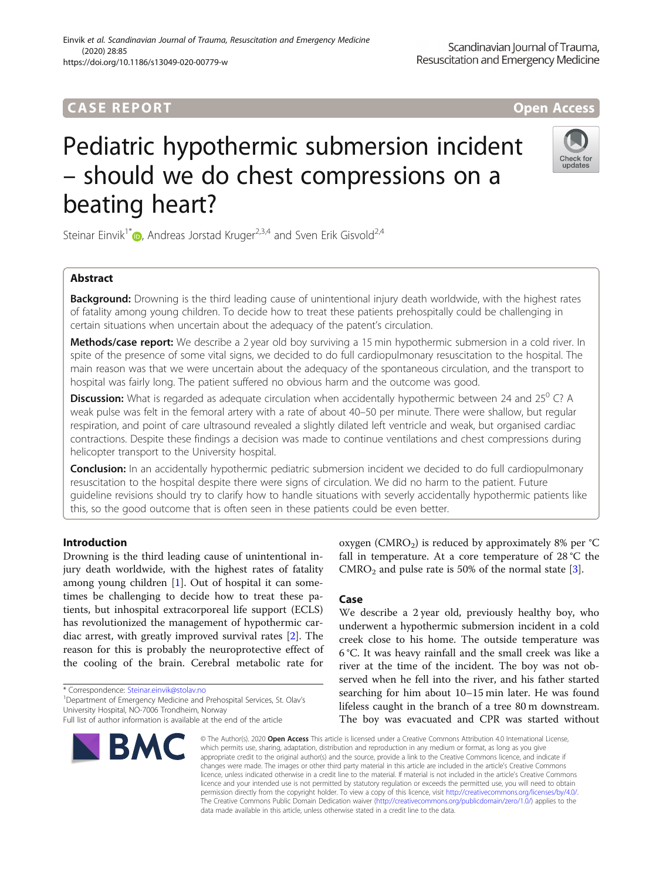## **CASE REPORT CASE REPORT** And the contract of the contract of the contract of the contract of the contract of the contract of the contract of the contract of the contract of the contract of the contract of the contract of

beating heart?

# Pediatric hypothermic submersion incident – should we do chest compressions on a

Steinar Einvik<sup>1\*</sup> $\bullet$ [,](http://orcid.org/0000-0002-0790-1632) Andreas Jorstad Kruger<sup>2,3,4</sup> and Sven Erik Gisvold<sup>2,4</sup>

## Abstract

Background: Drowning is the third leading cause of unintentional injury death worldwide, with the highest rates of fatality among young children. To decide how to treat these patients prehospitally could be challenging in certain situations when uncertain about the adequacy of the patent's circulation.

Methods/case report: We describe a 2 year old boy surviving a 15 min hypothermic submersion in a cold river. In spite of the presence of some vital signs, we decided to do full cardiopulmonary resuscitation to the hospital. The main reason was that we were uncertain about the adequacy of the spontaneous circulation, and the transport to hospital was fairly long. The patient suffered no obvious harm and the outcome was good.

**Discussion:** What is regarded as adequate circulation when accidentally hypothermic between 24 and 25<sup>0</sup> C? A weak pulse was felt in the femoral artery with a rate of about 40–50 per minute. There were shallow, but regular respiration, and point of care ultrasound revealed a slightly dilated left ventricle and weak, but organised cardiac contractions. Despite these findings a decision was made to continue ventilations and chest compressions during helicopter transport to the University hospital.

Conclusion: In an accidentally hypothermic pediatric submersion incident we decided to do full cardiopulmonary resuscitation to the hospital despite there were signs of circulation. We did no harm to the patient. Future guideline revisions should try to clarify how to handle situations with severly accidentally hypothermic patients like this, so the good outcome that is often seen in these patients could be even better.

## Introduction

Drowning is the third leading cause of unintentional injury death worldwide, with the highest rates of fatality among young children [\[1](#page-3-0)]. Out of hospital it can sometimes be challenging to decide how to treat these patients, but inhospital extracorporeal life support (ECLS) has revolutionized the management of hypothermic cardiac arrest, with greatly improved survival rates [[2](#page-3-0)]. The reason for this is probably the neuroprotective effect of the cooling of the brain. Cerebral metabolic rate for

\* Correspondence: [Steinar.einvik@stolav.no](mailto:Steinar.einvik@stolav.no) <sup>1</sup>

<sup>1</sup> Department of Emergency Medicine and Prehospital Services, St. Olav's University Hospital, NO-7006 Trondheim, Norway

## oxygen ( $CMRO<sub>2</sub>$ ) is reduced by approximately 8% per  $°C$ fall in temperature. At a core temperature of 28 °C the  $CMRO<sub>2</sub>$  and pulse rate is 50% of the normal state [\[3](#page-3-0)].

### Case

We describe a 2 year old, previously healthy boy, who underwent a hypothermic submersion incident in a cold creek close to his home. The outside temperature was 6 °C. It was heavy rainfall and the small creek was like a river at the time of the incident. The boy was not observed when he fell into the river, and his father started searching for him about 10–15 min later. He was found lifeless caught in the branch of a tree 80 m downstream. The boy was evacuated and CPR was started without

© The Author(s), 2020 **Open Access** This article is licensed under a Creative Commons Attribution 4.0 International License, which permits use, sharing, adaptation, distribution and reproduction in any medium or format, as long as you give appropriate credit to the original author(s) and the source, provide a link to the Creative Commons licence, and indicate if changes were made. The images or other third party material in this article are included in the article's Creative Commons licence, unless indicated otherwise in a credit line to the material. If material is not included in the article's Creative Commons licence and your intended use is not permitted by statutory regulation or exceeds the permitted use, you will need to obtain permission directly from the copyright holder. To view a copy of this licence, visit [http://creativecommons.org/licenses/by/4.0/.](http://creativecommons.org/licenses/by/4.0/) The Creative Commons Public Domain Dedication waiver [\(http://creativecommons.org/publicdomain/zero/1.0/](http://creativecommons.org/publicdomain/zero/1.0/)) applies to the data made available in this article, unless otherwise stated in a credit line to the data.





Full list of author information is available at the end of the article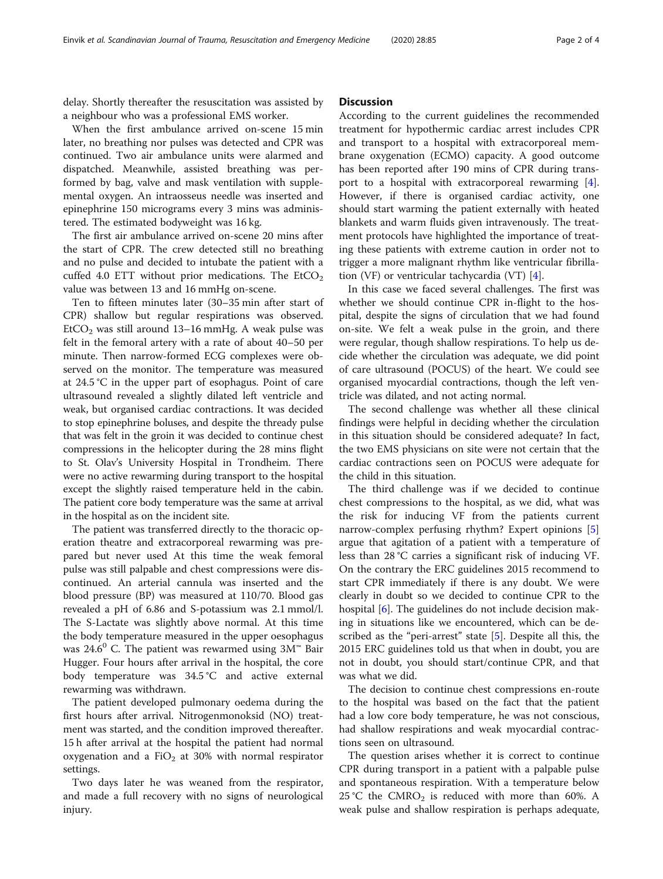delay. Shortly thereafter the resuscitation was assisted by a neighbour who was a professional EMS worker.

When the first ambulance arrived on-scene 15 min later, no breathing nor pulses was detected and CPR was continued. Two air ambulance units were alarmed and dispatched. Meanwhile, assisted breathing was performed by bag, valve and mask ventilation with supplemental oxygen. An intraosseus needle was inserted and epinephrine 150 micrograms every 3 mins was administered. The estimated bodyweight was 16 kg.

The first air ambulance arrived on-scene 20 mins after the start of CPR. The crew detected still no breathing and no pulse and decided to intubate the patient with a cuffed 4.0 ETT without prior medications. The  $EtCO<sub>2</sub>$ value was between 13 and 16 mmHg on-scene.

Ten to fifteen minutes later (30–35 min after start of CPR) shallow but regular respirations was observed.  $EtCO<sub>2</sub>$  was still around 13–16 mmHg. A weak pulse was felt in the femoral artery with a rate of about 40–50 per minute. Then narrow-formed ECG complexes were observed on the monitor. The temperature was measured at 24.5 °C in the upper part of esophagus. Point of care ultrasound revealed a slightly dilated left ventricle and weak, but organised cardiac contractions. It was decided to stop epinephrine boluses, and despite the thready pulse that was felt in the groin it was decided to continue chest compressions in the helicopter during the 28 mins flight to St. Olav's University Hospital in Trondheim. There were no active rewarming during transport to the hospital except the slightly raised temperature held in the cabin. The patient core body temperature was the same at arrival in the hospital as on the incident site.

The patient was transferred directly to the thoracic operation theatre and extracorporeal rewarming was prepared but never used At this time the weak femoral pulse was still palpable and chest compressions were discontinued. An arterial cannula was inserted and the blood pressure (BP) was measured at 110/70. Blood gas revealed a pH of 6.86 and S-potassium was 2.1 mmol/l. The S-Lactate was slightly above normal. At this time the body temperature measured in the upper oesophagus was 24.6<sup>0</sup> C. The patient was rewarmed using  $3M^{\omega}$  Bair Hugger. Four hours after arrival in the hospital, the core body temperature was 34.5 °C and active external rewarming was withdrawn.

The patient developed pulmonary oedema during the first hours after arrival. Nitrogenmonoksid (NO) treatment was started, and the condition improved thereafter. 15 h after arrival at the hospital the patient had normal oxygenation and a FiO<sub>2</sub> at 30% with normal respirator settings.

Two days later he was weaned from the respirator, and made a full recovery with no signs of neurological injury.

#### **Discussion**

According to the current guidelines the recommended treatment for hypothermic cardiac arrest includes CPR and transport to a hospital with extracorporeal membrane oxygenation (ECMO) capacity. A good outcome has been reported after 190 mins of CPR during transport to a hospital with extracorporeal rewarming [\[4](#page-3-0)]. However, if there is organised cardiac activity, one should start warming the patient externally with heated blankets and warm fluids given intravenously. The treatment protocols have highlighted the importance of treating these patients with extreme caution in order not to trigger a more malignant rhythm like ventricular fibrillation (VF) or ventricular tachycardia (VT) [[4\]](#page-3-0).

In this case we faced several challenges. The first was whether we should continue CPR in-flight to the hospital, despite the signs of circulation that we had found on-site. We felt a weak pulse in the groin, and there were regular, though shallow respirations. To help us decide whether the circulation was adequate, we did point of care ultrasound (POCUS) of the heart. We could see organised myocardial contractions, though the left ventricle was dilated, and not acting normal.

The second challenge was whether all these clinical findings were helpful in deciding whether the circulation in this situation should be considered adequate? In fact, the two EMS physicians on site were not certain that the cardiac contractions seen on POCUS were adequate for the child in this situation.

The third challenge was if we decided to continue chest compressions to the hospital, as we did, what was the risk for inducing VF from the patients current narrow-complex perfusing rhythm? Expert opinions [\[5](#page-3-0)] argue that agitation of a patient with a temperature of less than 28 °C carries a significant risk of inducing VF. On the contrary the ERC guidelines 2015 recommend to start CPR immediately if there is any doubt. We were clearly in doubt so we decided to continue CPR to the hospital [[6\]](#page-3-0). The guidelines do not include decision making in situations like we encountered, which can be de-scribed as the "peri-arrest" state [\[5](#page-3-0)]. Despite all this, the 2015 ERC guidelines told us that when in doubt, you are not in doubt, you should start/continue CPR, and that was what we did.

The decision to continue chest compressions en-route to the hospital was based on the fact that the patient had a low core body temperature, he was not conscious, had shallow respirations and weak myocardial contractions seen on ultrasound.

The question arises whether it is correct to continue CPR during transport in a patient with a palpable pulse and spontaneous respiration. With a temperature below 25 °C the CMRO<sub>2</sub> is reduced with more than 60%. A weak pulse and shallow respiration is perhaps adequate,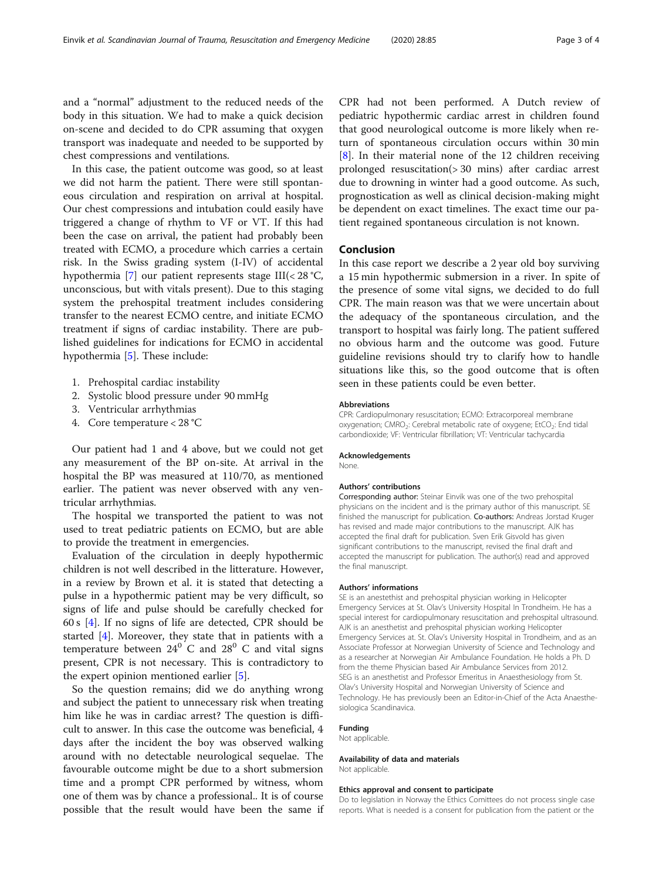and a "normal" adjustment to the reduced needs of the body in this situation. We had to make a quick decision on-scene and decided to do CPR assuming that oxygen transport was inadequate and needed to be supported by chest compressions and ventilations.

In this case, the patient outcome was good, so at least we did not harm the patient. There were still spontaneous circulation and respiration on arrival at hospital. Our chest compressions and intubation could easily have triggered a change of rhythm to VF or VT. If this had been the case on arrival, the patient had probably been treated with ECMO, a procedure which carries a certain risk. In the Swiss grading system (I-IV) of accidental hypothermia [\[7](#page-3-0)] our patient represents stage III(< 28 °C, unconscious, but with vitals present). Due to this staging system the prehospital treatment includes considering transfer to the nearest ECMO centre, and initiate ECMO treatment if signs of cardiac instability. There are published guidelines for indications for ECMO in accidental hypothermia [[5](#page-3-0)]. These include:

- 1. Prehospital cardiac instability
- 2. Systolic blood pressure under 90 mmHg
- 3. Ventricular arrhythmias
- 4. Core temperature < 28 °C

Our patient had 1 and 4 above, but we could not get any measurement of the BP on-site. At arrival in the hospital the BP was measured at 110/70, as mentioned earlier. The patient was never observed with any ventricular arrhythmias.

The hospital we transported the patient to was not used to treat pediatric patients on ECMO, but are able to provide the treatment in emergencies.

Evaluation of the circulation in deeply hypothermic children is not well described in the litterature. However, in a review by Brown et al. it is stated that detecting a pulse in a hypothermic patient may be very difficult, so signs of life and pulse should be carefully checked for 60 s [\[4](#page-3-0)]. If no signs of life are detected, CPR should be started [[4\]](#page-3-0). Moreover, they state that in patients with a temperature between  $24^{\circ}$  C and  $28^{\circ}$  C and vital signs present, CPR is not necessary. This is contradictory to the expert opinion mentioned earlier [\[5\]](#page-3-0).

So the question remains; did we do anything wrong and subject the patient to unnecessary risk when treating him like he was in cardiac arrest? The question is difficult to answer. In this case the outcome was beneficial, 4 days after the incident the boy was observed walking around with no detectable neurological sequelae. The favourable outcome might be due to a short submersion time and a prompt CPR performed by witness, whom one of them was by chance a professional.. It is of course possible that the result would have been the same if CPR had not been performed. A Dutch review of pediatric hypothermic cardiac arrest in children found that good neurological outcome is more likely when return of spontaneous circulation occurs within 30 min [[8\]](#page-3-0). In their material none of the 12 children receiving prolonged resuscitation(> 30 mins) after cardiac arrest due to drowning in winter had a good outcome. As such, prognostication as well as clinical decision-making might be dependent on exact timelines. The exact time our patient regained spontaneous circulation is not known.

#### Conclusion

In this case report we describe a 2 year old boy surviving a 15 min hypothermic submersion in a river. In spite of the presence of some vital signs, we decided to do full CPR. The main reason was that we were uncertain about the adequacy of the spontaneous circulation, and the transport to hospital was fairly long. The patient suffered no obvious harm and the outcome was good. Future guideline revisions should try to clarify how to handle situations like this, so the good outcome that is often seen in these patients could be even better.

#### Abbreviations

CPR: Cardiopulmonary resuscitation; ECMO: Extracorporeal membrane oxygenation; CMRO<sub>2</sub>: Cerebral metabolic rate of oxygene; EtCO<sub>2</sub>: End tidal carbondioxide; VF: Ventricular fibrillation; VT: Ventricular tachycardia

#### Acknowledgements

None.

#### Authors' contributions

Corresponding author: Steinar Einvik was one of the two prehospital physicians on the incident and is the primary author of this manuscript. SE finished the manuscript for publication. Co-authors: Andreas Jorstad Kruger has revised and made major contributions to the manuscript. AJK has accepted the final draft for publication. Sven Erik Gisvold has given significant contributions to the manuscript, revised the final draft and accepted the manuscript for publication. The author(s) read and approved the final manuscript.

#### Authors' informations

SE is an anestethist and prehospital physician working in Helicopter Emergency Services at St. Olav's University Hospital In Trondheim. He has a special interest for cardiopulmonary resuscitation and prehospital ultrasound. AJK is an anesthetist and prehospital physician working Helicopter Emergency Services at. St. Olav's University Hospital in Trondheim, and as an Associate Professor at Norwegian University of Science and Technology and as a researcher at Norwegian Air Ambulance Foundation. He holds a Ph. D from the theme Physician based Air Ambulance Services from 2012. SEG is an anesthetist and Professor Emeritus in Anaesthesiology from St. Olav's University Hospital and Norwegian University of Science and Technology. He has previously been an Editor-in-Chief of the Acta Anaesthesiologica Scandinavica.

#### Funding

Not applicable.

#### Availability of data and materials Not applicable.

#### Ethics approval and consent to participate

Do to legislation in Norway the Ethics Comittees do not process single case reports. What is needed is a consent for publication from the patient or the